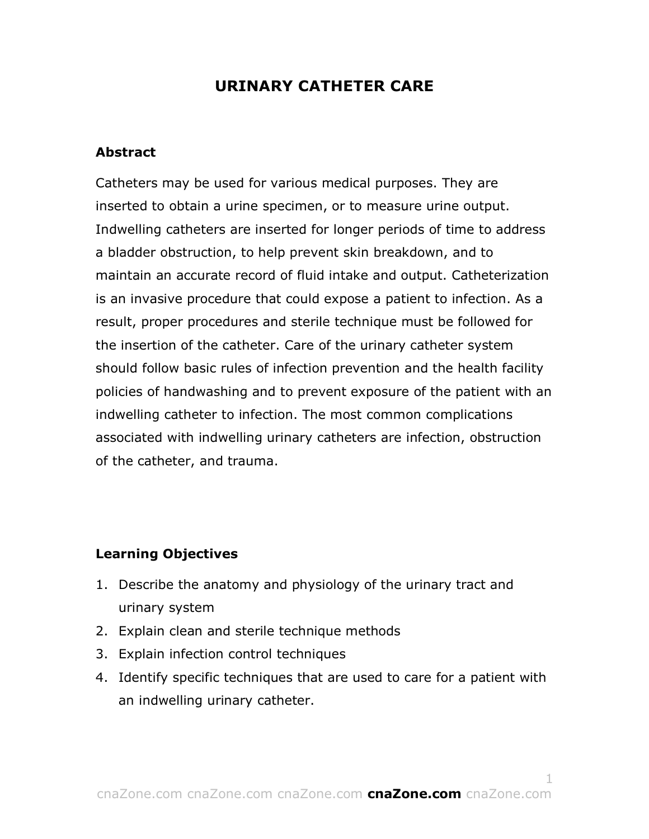# **URINARY CATHETER CARE**

#### **Abstract**

Catheters may be used for various medical purposes. They are inserted to obtain a urine specimen, or to measure urine output. Indwelling catheters are inserted for longer periods of time to address a bladder obstruction, to help prevent skin breakdown, and to maintain an accurate record of fluid intake and output. Catheterization is an invasive procedure that could expose a patient to infection. As a result, proper procedures and sterile technique must be followed for the insertion of the catheter. Care of the urinary catheter system should follow basic rules of infection prevention and the health facility policies of handwashing and to prevent exposure of the patient with an indwelling catheter to infection. The most common complications associated with indwelling urinary catheters are infection, obstruction of the catheter, and trauma.

### **Learning Objectives**

- 1. Describe the anatomy and physiology of the urinary tract and urinary system
- 2. Explain clean and sterile technique methods
- 3. Explain infection control techniques
- 4. Identify specific techniques that are used to care for a patient with an indwelling urinary catheter.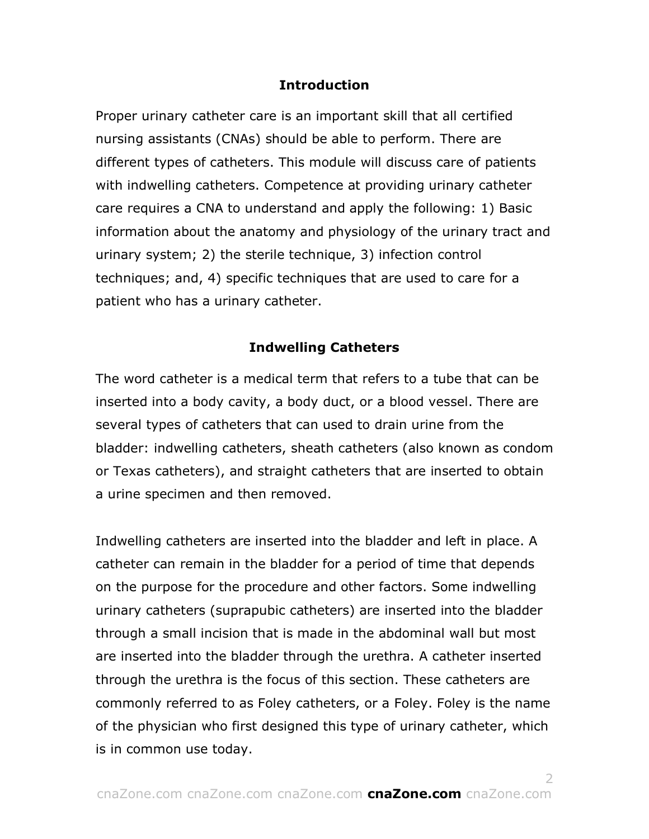## **Introduction**

Proper urinary catheter care is an important skill that all certified nursing assistants (CNAs) should be able to perform. There are different types of catheters. This module will discuss care of patients with indwelling catheters. Competence at providing urinary catheter care requires a CNA to understand and apply the following: 1) Basic information about the anatomy and physiology of the urinary tract and urinary system; 2) the sterile technique, 3) infection control techniques; and, 4) specific techniques that are used to care for a patient who has a urinary catheter.

### **Indwelling Catheters**

The word catheter is a medical term that refers to a tube that can be inserted into a body cavity, a body duct, or a blood vessel. There are several types of catheters that can used to drain urine from the bladder: indwelling catheters, sheath catheters (also known as condom or Texas catheters), and straight catheters that are inserted to obtain a urine specimen and then removed.

Indwelling catheters are inserted into the bladder and left in place. A catheter can remain in the bladder for a period of time that depends on the purpose for the procedure and other factors. Some indwelling urinary catheters (suprapubic catheters) are inserted into the bladder through a small incision that is made in the abdominal wall but most are inserted into the bladder through the urethra. A catheter inserted through the urethra is the focus of this section. These catheters are commonly referred to as Foley catheters, or a Foley. Foley is the name of the physician who first designed this type of urinary catheter, which is in common use today.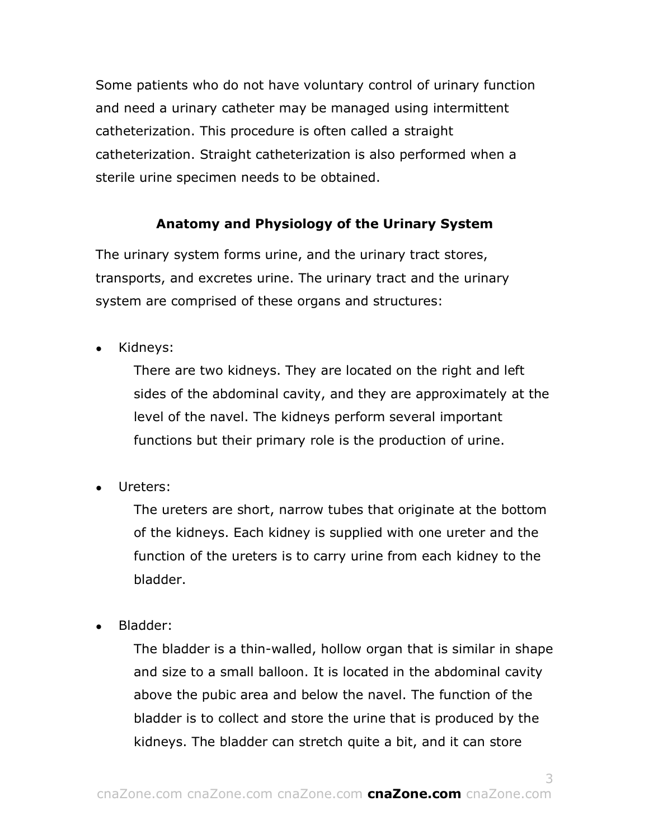Some patients who do not have voluntary control of urinary function and need a urinary catheter may be managed using intermittent catheterization. This procedure is often called a straight catheterization. Straight catheterization is also performed when a sterile urine specimen needs to be obtained.

# **Anatomy and Physiology of the Urinary System**

The urinary system forms urine, and the urinary tract stores, transports, and excretes urine. The urinary tract and the urinary system are comprised of these organs and structures:

Kidneys:

There are two kidneys. They are located on the right and left sides of the abdominal cavity, and they are approximately at the level of the navel. The kidneys perform several important functions but their primary role is the production of urine.

Ureters:

The ureters are short, narrow tubes that originate at the bottom of the kidneys. Each kidney is supplied with one ureter and the function of the ureters is to carry urine from each kidney to the bladder.

Bladder:

The bladder is a thin-walled, hollow organ that is similar in shape and size to a small balloon. It is located in the abdominal cavity above the pubic area and below the navel. The function of the bladder is to collect and store the urine that is produced by the kidneys. The bladder can stretch quite a bit, and it can store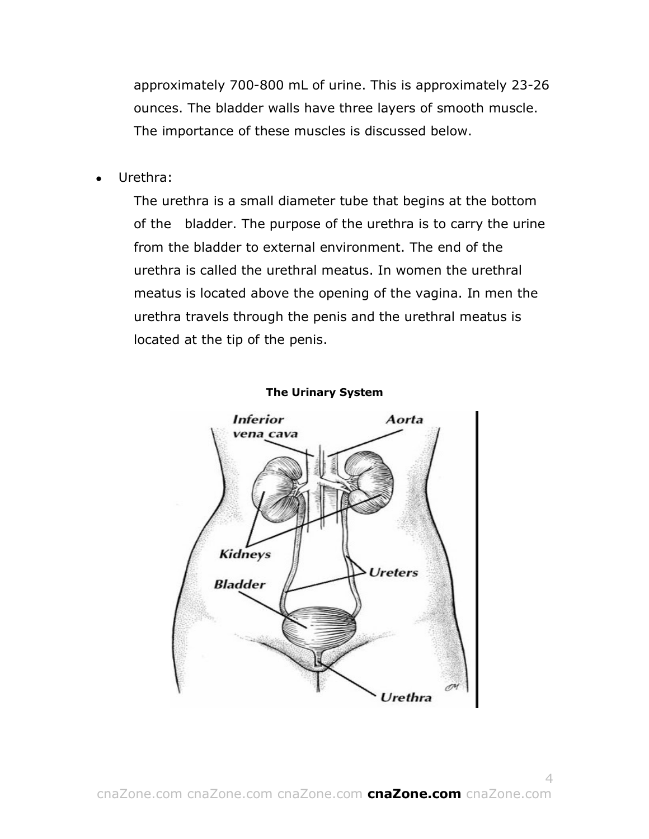approximately 700-800 mL of urine. This is approximately 23-26 ounces. The bladder walls have three layers of smooth muscle. The importance of these muscles is discussed below.

Urethra:

The urethra is a small diameter tube that begins at the bottom of the bladder. The purpose of the urethra is to carry the urine from the bladder to external environment. The end of the urethra is called the urethral meatus. In women the urethral meatus is located above the opening of the vagina. In men the urethra travels through the penis and the urethral meatus is located at the tip of the penis.



#### **The Urinary System**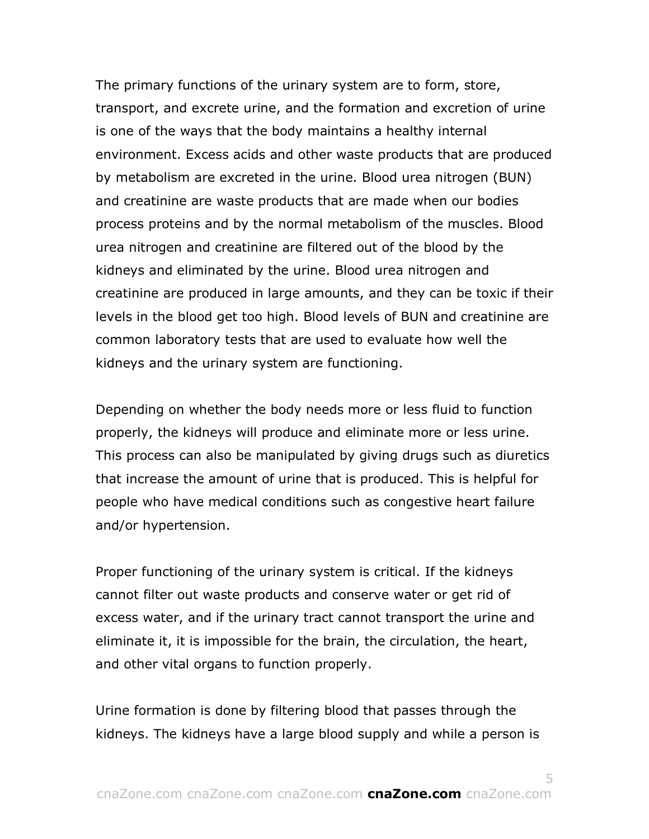The primary functions of the urinary system are to form, store, transport, and excrete urine, and the formation and excretion of urine is one of the ways that the body maintains a healthy internal environment. Excess acids and other waste products that are produced by metabolism are excreted in the urine. Blood urea nitrogen (BUN) and creatinine are waste products that are made when our bodies process proteins and by the normal metabolism of the muscles. Blood urea nitrogen and creatinine are filtered out of the blood by the kidneys and eliminated by the urine. Blood urea nitrogen and creatinine are produced in large amounts, and they can be toxic if their levels in the blood get too high. Blood levels of BUN and creatinine are common laboratory tests that are used to evaluate how well the kidneys and the urinary system are functioning.

Depending on whether the body needs more or less fluid to function properly, the kidneys will produce and eliminate more or less urine. This process can also be manipulated by giving drugs such as diuretics that increase the amount of urine that is produced. This is helpful for people who have medical conditions such as congestive heart failure and/or hypertension.

Proper functioning of the urinary system is critical. If the kidneys cannot filter out waste products and conserve water or get rid of excess water, and if the urinary tract cannot transport the urine and eliminate it, it is impossible for the brain, the circulation, the heart, and other vital organs to function properly.

Urine formation is done by filtering blood that passes through the kidneys. The kidneys have a large blood supply and while a person is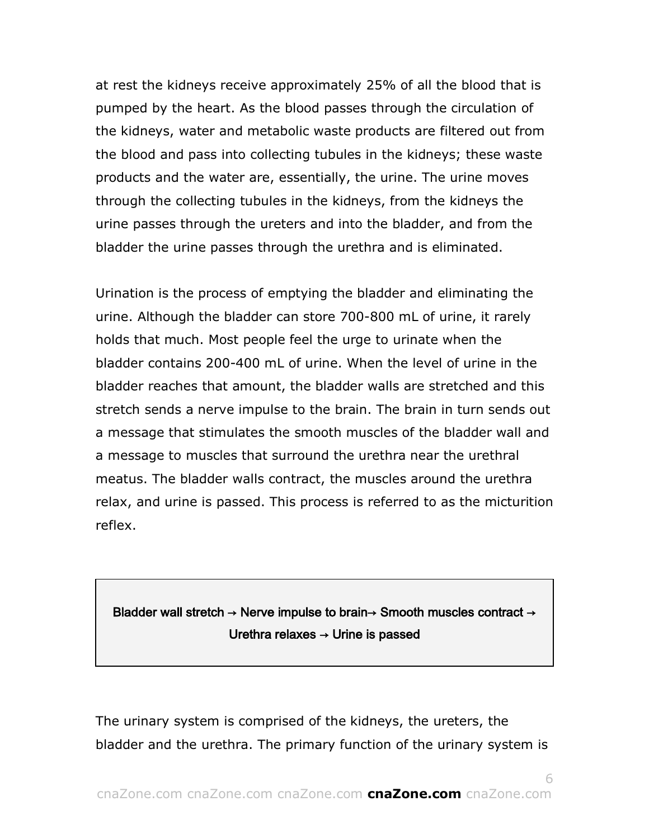at rest the kidneys receive approximately 25% of all the blood that is pumped by the heart. As the blood passes through the circulation of the kidneys, water and metabolic waste products are filtered out from the blood and pass into collecting tubules in the kidneys; these waste products and the water are, essentially, the urine. The urine moves through the collecting tubules in the kidneys, from the kidneys the urine passes through the ureters and into the bladder, and from the bladder the urine passes through the urethra and is eliminated.

Urination is the process of emptying the bladder and eliminating the urine. Although the bladder can store 700-800 mL of urine, it rarely holds that much. Most people feel the urge to urinate when the bladder contains 200-400 mL of urine. When the level of urine in the bladder reaches that amount, the bladder walls are stretched and this stretch sends a nerve impulse to the brain. The brain in turn sends out a message that stimulates the smooth muscles of the bladder wall and a message to muscles that surround the urethra near the urethral meatus. The bladder walls contract, the muscles around the urethra relax, and urine is passed. This process is referred to as the micturition reflex.

# Bladder wall stretch → Nerve impulse to brain→ Smooth muscles contract → Urethra relaxes  $\rightarrow$  Urine is passed

The urinary system is comprised of the kidneys, the ureters, the bladder and the urethra. The primary function of the urinary system is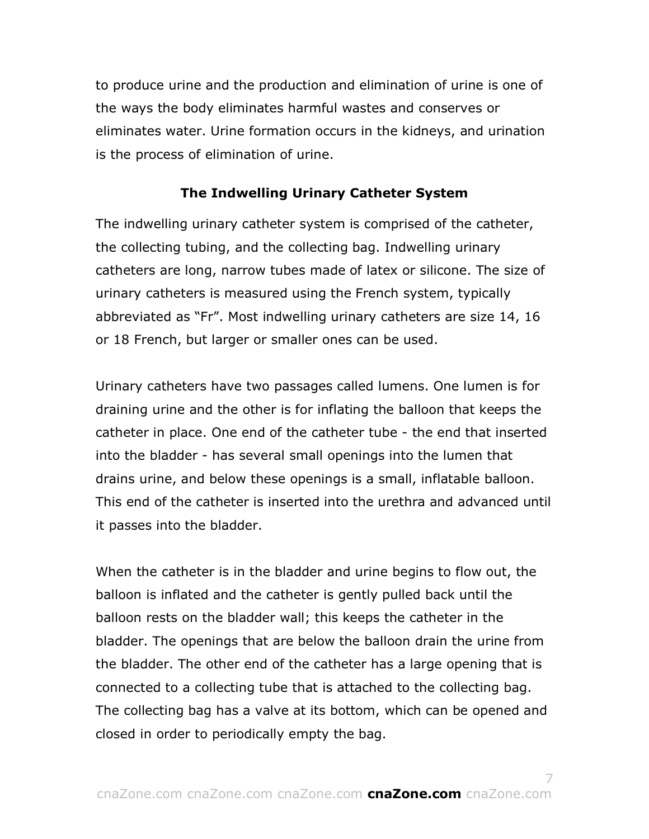to produce urine and the production and elimination of urine is one of the ways the body eliminates harmful wastes and conserves or eliminates water. Urine formation occurs in the kidneys, and urination is the process of elimination of urine.

## **The Indwelling Urinary Catheter System**

The indwelling urinary catheter system is comprised of the catheter, the collecting tubing, and the collecting bag. Indwelling urinary catheters are long, narrow tubes made of latex or silicone. The size of urinary catheters is measured using the French system, typically abbreviated as "Fr". Most indwelling urinary catheters are size 14, 16 or 18 French, but larger or smaller ones can be used.

Urinary catheters have two passages called lumens. One lumen is for draining urine and the other is for inflating the balloon that keeps the catheter in place. One end of the catheter tube - the end that inserted into the bladder - has several small openings into the lumen that drains urine, and below these openings is a small, inflatable balloon. This end of the catheter is inserted into the urethra and advanced until it passes into the bladder.

When the catheter is in the bladder and urine begins to flow out, the balloon is inflated and the catheter is gently pulled back until the balloon rests on the bladder wall; this keeps the catheter in the bladder. The openings that are below the balloon drain the urine from the bladder. The other end of the catheter has a large opening that is connected to a collecting tube that is attached to the collecting bag. The collecting bag has a valve at its bottom, which can be opened and closed in order to periodically empty the bag.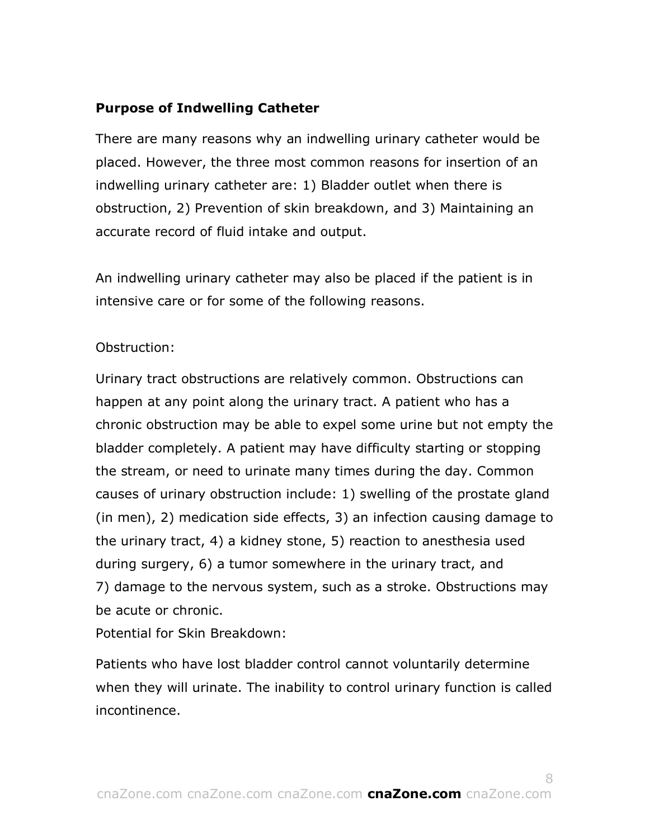# **Purpose of Indwelling Catheter**

There are many reasons why an indwelling urinary catheter would be placed. However, the three most common reasons for insertion of an indwelling urinary catheter are: 1) Bladder outlet when there is obstruction, 2) Prevention of skin breakdown, and 3) Maintaining an accurate record of fluid intake and output.

An indwelling urinary catheter may also be placed if the patient is in intensive care or for some of the following reasons.

# Obstruction:

Urinary tract obstructions are relatively common. Obstructions can happen at any point along the urinary tract. A patient who has a chronic obstruction may be able to expel some urine but not empty the bladder completely. A patient may have difficulty starting or stopping the stream, or need to urinate many times during the day. Common causes of urinary obstruction include: 1) swelling of the prostate gland (in men), 2) medication side effects, 3) an infection causing damage to the urinary tract, 4) a kidney stone, 5) reaction to anesthesia used during surgery, 6) a tumor somewhere in the urinary tract, and 7) damage to the nervous system, such as a stroke. Obstructions may be acute or chronic.

Potential for Skin Breakdown:

Patients who have lost bladder control cannot voluntarily determine when they will urinate. The inability to control urinary function is called incontinence.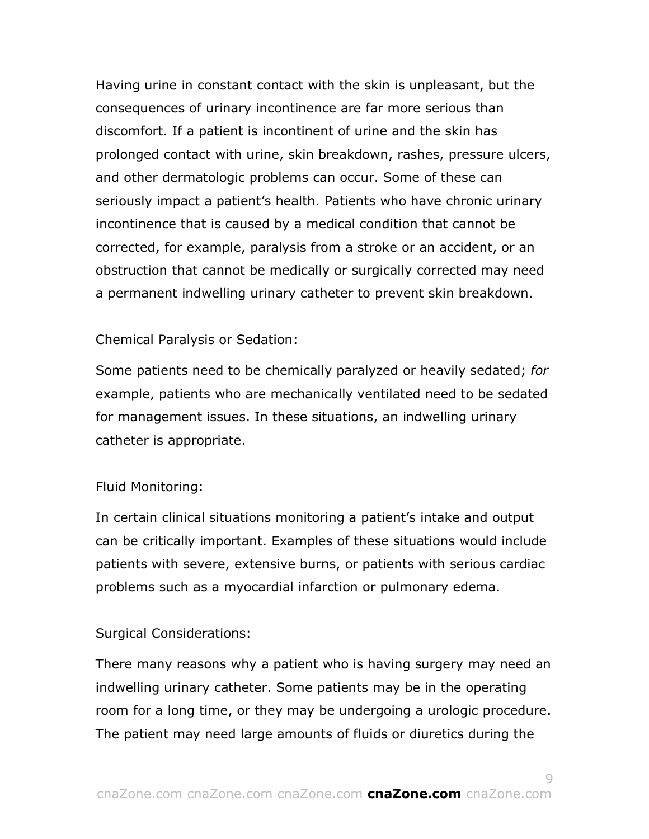Having urine in constant contact with the skin is unpleasant, but the consequences of urinary incontinence are far more serious than discomfort. If a patient is incontinent of urine and the skin has prolonged contact with urine, skin breakdown, rashes, pressure ulcers, and other dermatologic problems can occur. Some of these can seriously impact a patient's health. Patients who have chronic urinary incontinence that is caused by a medical condition that cannot be corrected, for example, paralysis from a stroke or an accident, or an obstruction that cannot be medically or surgically corrected may need a permanent indwelling urinary catheter to prevent skin breakdown.

#### Chemical Paralysis or Sedation:

Some patients need to be chemically paralyzed or heavily sedated; *for*  example, patients who are mechanically ventilated need to be sedated for management issues. In these situations, an indwelling urinary catheter is appropriate.

#### Fluid Monitoring:

In certain clinical situations monitoring a patient's intake and output can be critically important. Examples of these situations would include patients with severe, extensive burns, or patients with serious cardiac problems such as a myocardial infarction or pulmonary edema.

#### Surgical Considerations:

There many reasons why a patient who is having surgery may need an indwelling urinary catheter. Some patients may be in the operating room for a long time, or they may be undergoing a urologic procedure. The patient may need large amounts of fluids or diuretics during the

 $\overline{Q}$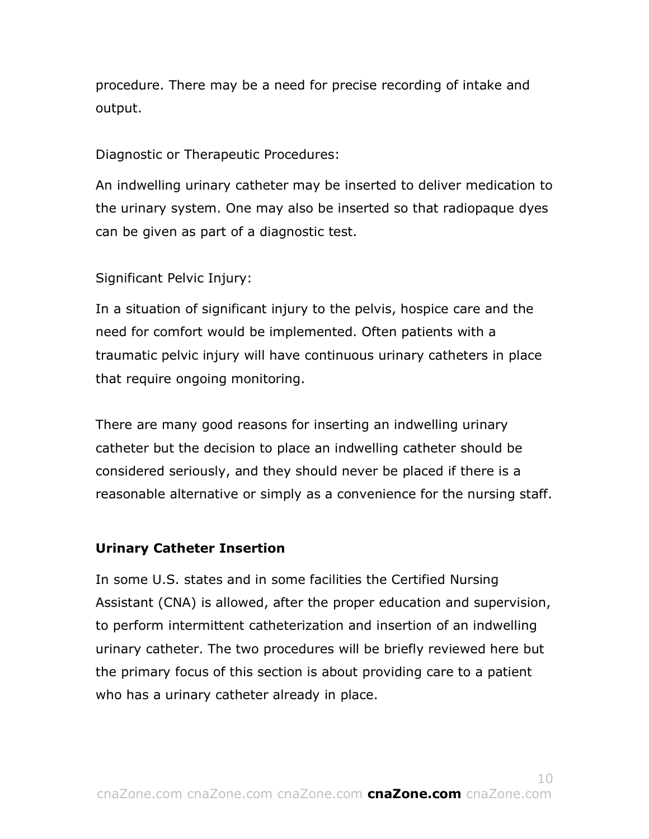procedure. There may be a need for precise recording of intake and output.

Diagnostic or Therapeutic Procedures:

An indwelling urinary catheter may be inserted to deliver medication to the urinary system. One may also be inserted so that radiopaque dyes can be given as part of a diagnostic test.

Significant Pelvic Injury:

In a situation of significant injury to the pelvis, hospice care and the need for comfort would be implemented. Often patients with a traumatic pelvic injury will have continuous urinary catheters in place that require ongoing monitoring.

There are many good reasons for inserting an indwelling urinary catheter but the decision to place an indwelling catheter should be considered seriously, and they should never be placed if there is a reasonable alternative or simply as a convenience for the nursing staff.

# **Urinary Catheter Insertion**

In some U.S. states and in some facilities the Certified Nursing Assistant (CNA) is allowed, after the proper education and supervision, to perform intermittent catheterization and insertion of an indwelling urinary catheter. The two procedures will be briefly reviewed here but the primary focus of this section is about providing care to a patient who has a urinary catheter already in place.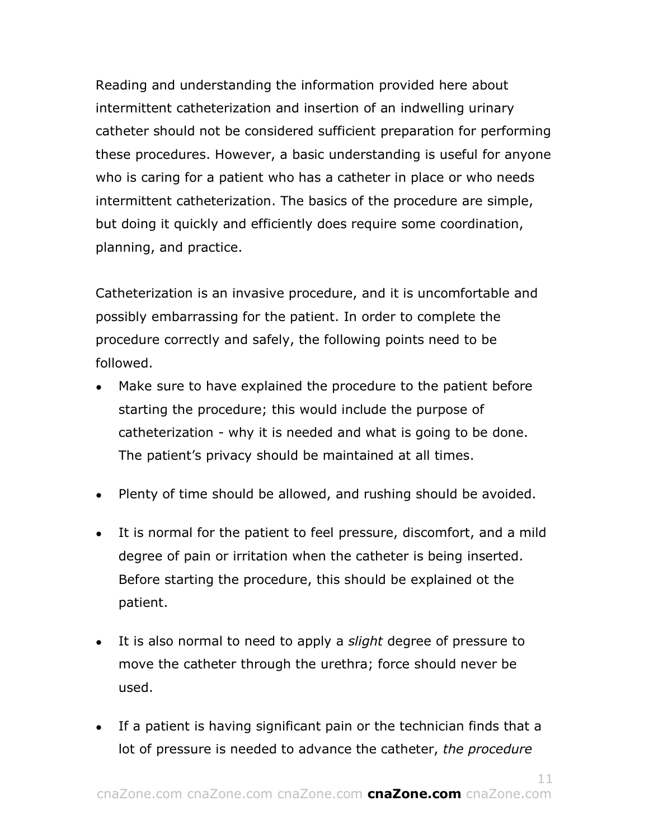Reading and understanding the information provided here about intermittent catheterization and insertion of an indwelling urinary catheter should not be considered sufficient preparation for performing these procedures. However, a basic understanding is useful for anyone who is caring for a patient who has a catheter in place or who needs intermittent catheterization. The basics of the procedure are simple, but doing it quickly and efficiently does require some coordination, planning, and practice.

Catheterization is an invasive procedure, and it is uncomfortable and possibly embarrassing for the patient. In order to complete the procedure correctly and safely, the following points need to be followed.

- Make sure to have explained the procedure to the patient before starting the procedure; this would include the purpose of catheterization - why it is needed and what is going to be done. The patient's privacy should be maintained at all times.
- Plenty of time should be allowed, and rushing should be avoided.
- It is normal for the patient to feel pressure, discomfort, and a mild degree of pain or irritation when the catheter is being inserted. Before starting the procedure, this should be explained ot the patient.
- It is also normal to need to apply a *slight* degree of pressure to move the catheter through the urethra; force should never be used.
- If a patient is having significant pain or the technician finds that a lot of pressure is needed to advance the catheter, *the procedure*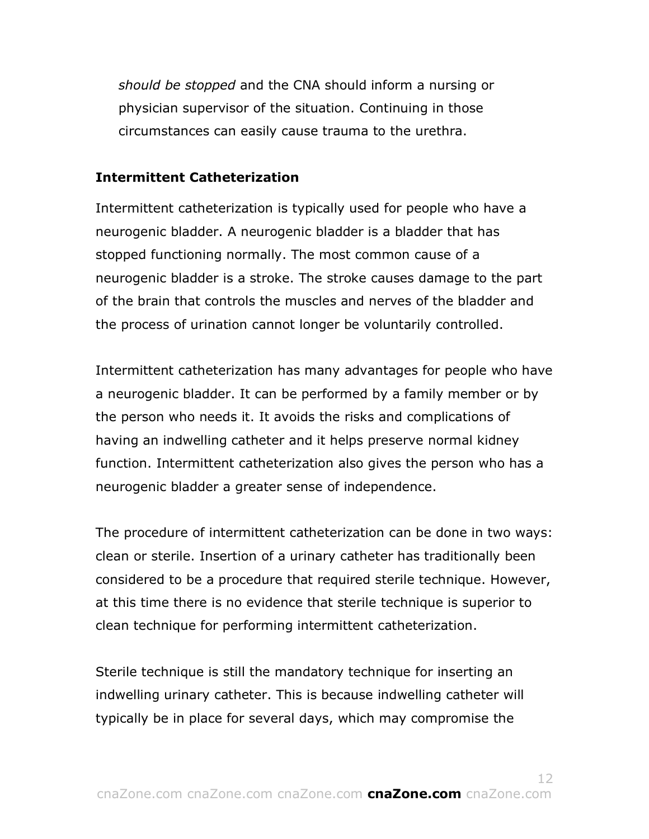*should be stopped* and the CNA should inform a nursing or physician supervisor of the situation. Continuing in those circumstances can easily cause trauma to the urethra.

### **Intermittent Catheterization**

Intermittent catheterization is typically used for people who have a neurogenic bladder. A neurogenic bladder is a bladder that has stopped functioning normally. The most common cause of a neurogenic bladder is a stroke. The stroke causes damage to the part of the brain that controls the muscles and nerves of the bladder and the process of urination cannot longer be voluntarily controlled.

Intermittent catheterization has many advantages for people who have a neurogenic bladder. It can be performed by a family member or by the person who needs it. It avoids the risks and complications of having an indwelling catheter and it helps preserve normal kidney function. Intermittent catheterization also gives the person who has a neurogenic bladder a greater sense of independence.

The procedure of intermittent catheterization can be done in two ways: clean or sterile. Insertion of a urinary catheter has traditionally been considered to be a procedure that required sterile technique. However, at this time there is no evidence that sterile technique is superior to clean technique for performing intermittent catheterization.

Sterile technique is still the mandatory technique for inserting an indwelling urinary catheter. This is because indwelling catheter will typically be in place for several days, which may compromise the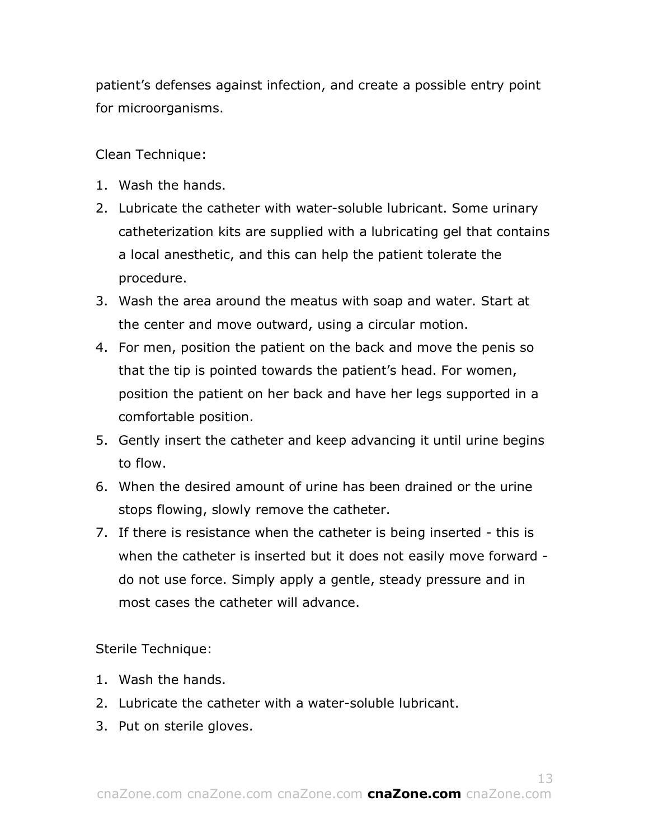patient's defenses against infection, and create a possible entry point for microorganisms.

Clean Technique:

- 1. Wash the hands.
- 2. Lubricate the catheter with water-soluble lubricant. Some urinary catheterization kits are supplied with a lubricating gel that contains a local anesthetic, and this can help the patient tolerate the procedure.
- 3. Wash the area around the meatus with soap and water. Start at the center and move outward, using a circular motion.
- 4. For men, position the patient on the back and move the penis so that the tip is pointed towards the patient's head. For women, position the patient on her back and have her legs supported in a comfortable position.
- 5. Gently insert the catheter and keep advancing it until urine begins to flow.
- 6. When the desired amount of urine has been drained or the urine stops flowing, slowly remove the catheter.
- 7. If there is resistance when the catheter is being inserted this is when the catheter is inserted but it does not easily move forward do not use force. Simply apply a gentle, steady pressure and in most cases the catheter will advance.

Sterile Technique:

- 1. Wash the hands.
- 2. Lubricate the catheter with a water-soluble lubricant.
- 3. Put on sterile gloves.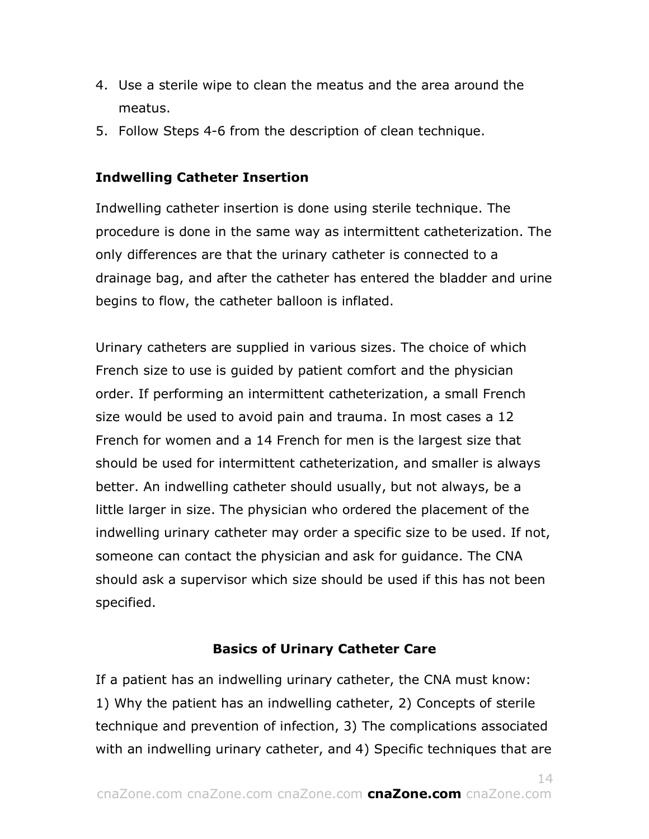- 4. Use a sterile wipe to clean the meatus and the area around the meatus.
- 5. Follow Steps 4-6 from the description of clean technique.

# **Indwelling Catheter Insertion**

Indwelling catheter insertion is done using sterile technique. The procedure is done in the same way as intermittent catheterization. The only differences are that the urinary catheter is connected to a drainage bag, and after the catheter has entered the bladder and urine begins to flow, the catheter balloon is inflated.

Urinary catheters are supplied in various sizes. The choice of which French size to use is guided by patient comfort and the physician order. If performing an intermittent catheterization, a small French size would be used to avoid pain and trauma. In most cases a 12 French for women and a 14 French for men is the largest size that should be used for intermittent catheterization, and smaller is always better. An indwelling catheter should usually, but not always, be a little larger in size. The physician who ordered the placement of the indwelling urinary catheter may order a specific size to be used. If not, someone can contact the physician and ask for guidance. The CNA should ask a supervisor which size should be used if this has not been specified.

# **Basics of Urinary Catheter Care**

If a patient has an indwelling urinary catheter, the CNA must know: 1) Why the patient has an indwelling catheter, 2) Concepts of sterile technique and prevention of infection, 3) The complications associated with an indwelling urinary catheter, and 4) Specific techniques that are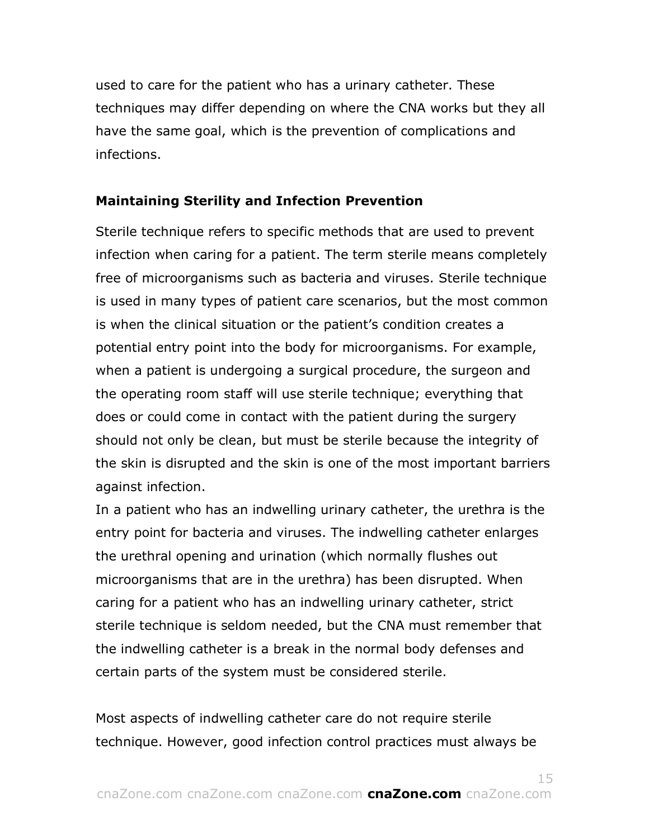used to care for the patient who has a urinary catheter. These techniques may differ depending on where the CNA works but they all have the same goal, which is the prevention of complications and infections.

## **Maintaining Sterility and Infection Prevention**

Sterile technique refers to specific methods that are used to prevent infection when caring for a patient. The term sterile means completely free of microorganisms such as bacteria and viruses. Sterile technique is used in many types of patient care scenarios, but the most common is when the clinical situation or the patient's condition creates a potential entry point into the body for microorganisms. For example, when a patient is undergoing a surgical procedure, the surgeon and the operating room staff will use sterile technique; everything that does or could come in contact with the patient during the surgery should not only be clean, but must be sterile because the integrity of the skin is disrupted and the skin is one of the most important barriers against infection.

In a patient who has an indwelling urinary catheter, the urethra is the entry point for bacteria and viruses. The indwelling catheter enlarges the urethral opening and urination (which normally flushes out microorganisms that are in the urethra) has been disrupted. When caring for a patient who has an indwelling urinary catheter, strict sterile technique is seldom needed, but the CNA must remember that the indwelling catheter is a break in the normal body defenses and certain parts of the system must be considered sterile.

Most aspects of indwelling catheter care do not require sterile technique. However, good infection control practices must always be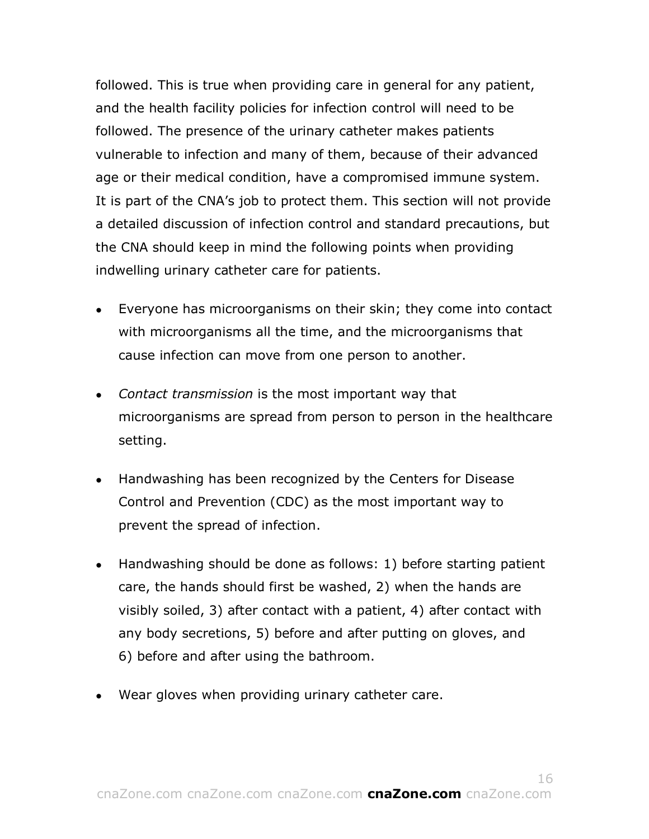followed. This is true when providing care in general for any patient, and the health facility policies for infection control will need to be followed. The presence of the urinary catheter makes patients vulnerable to infection and many of them, because of their advanced age or their medical condition, have a compromised immune system. It is part of the CNA's job to protect them. This section will not provide a detailed discussion of infection control and standard precautions, but the CNA should keep in mind the following points when providing indwelling urinary catheter care for patients.

- Everyone has microorganisms on their skin; they come into contact with microorganisms all the time, and the microorganisms that cause infection can move from one person to another.
- *Contact transmission* is the most important way that microorganisms are spread from person to person in the healthcare setting.
- Handwashing has been recognized by the Centers for Disease Control and Prevention (CDC) as the most important way to prevent the spread of infection.
- Handwashing should be done as follows: 1) before starting patient care, the hands should first be washed, 2) when the hands are visibly soiled, 3) after contact with a patient, 4) after contact with any body secretions, 5) before and after putting on gloves, and 6) before and after using the bathroom.
- Wear gloves when providing urinary catheter care.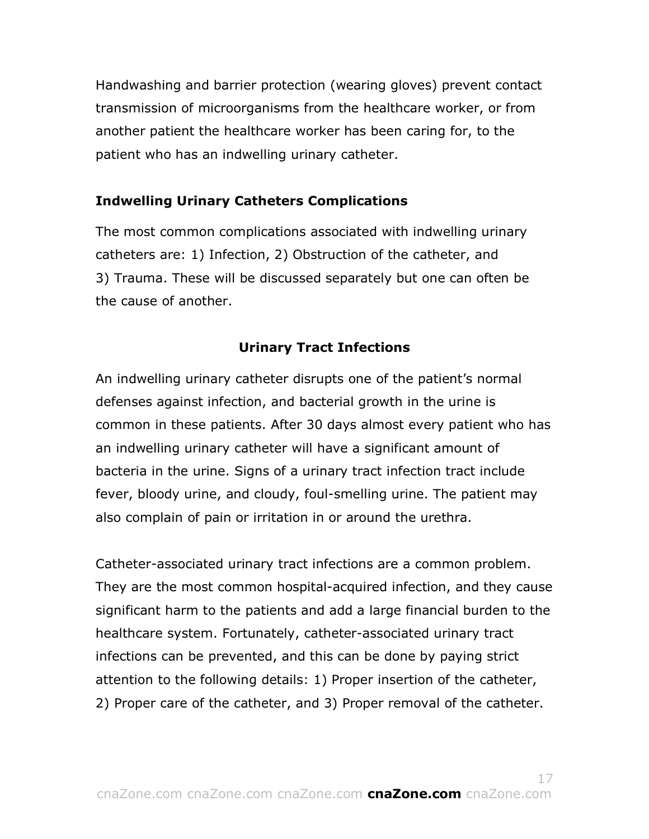Handwashing and barrier protection (wearing gloves) prevent contact transmission of microorganisms from the healthcare worker, or from another patient the healthcare worker has been caring for, to the patient who has an indwelling urinary catheter.

# **Indwelling Urinary Catheters Complications**

The most common complications associated with indwelling urinary catheters are: 1) Infection, 2) Obstruction of the catheter, and 3) Trauma. These will be discussed separately but one can often be the cause of another.

# **Urinary Tract Infections**

An indwelling urinary catheter disrupts one of the patient's normal defenses against infection, and bacterial growth in the urine is common in these patients. After 30 days almost every patient who has an indwelling urinary catheter will have a significant amount of bacteria in the urine. Signs of a urinary tract infection tract include fever, bloody urine, and cloudy, foul-smelling urine. The patient may also complain of pain or irritation in or around the urethra.

Catheter-associated urinary tract infections are a common problem. They are the most common hospital-acquired infection, and they cause significant harm to the patients and add a large financial burden to the healthcare system. Fortunately, catheter-associated urinary tract infections can be prevented, and this can be done by paying strict attention to the following details: 1) Proper insertion of the catheter, 2) Proper care of the catheter, and 3) Proper removal of the catheter.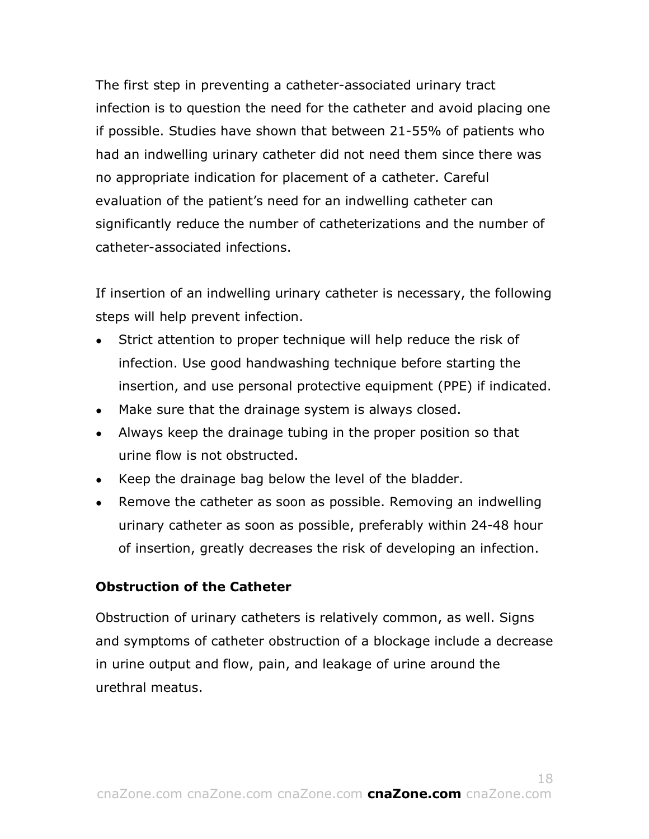The first step in preventing a catheter-associated urinary tract infection is to question the need for the catheter and avoid placing one if possible. Studies have shown that between 21-55% of patients who had an indwelling urinary catheter did not need them since there was no appropriate indication for placement of a catheter. Careful evaluation of the patient's need for an indwelling catheter can significantly reduce the number of catheterizations and the number of catheter-associated infections.

If insertion of an indwelling urinary catheter is necessary, the following steps will help prevent infection.

- Strict attention to proper technique will help reduce the risk of infection. Use good handwashing technique before starting the insertion, and use personal protective equipment (PPE) if indicated.
- Make sure that the drainage system is always closed.
- Always keep the drainage tubing in the proper position so that urine flow is not obstructed.
- Keep the drainage bag below the level of the bladder.
- Remove the catheter as soon as possible. Removing an indwelling urinary catheter as soon as possible, preferably within 24-48 hour of insertion, greatly decreases the risk of developing an infection.

# **Obstruction of the Catheter**

Obstruction of urinary catheters is relatively common, as well. Signs and symptoms of catheter obstruction of a blockage include a decrease in urine output and flow, pain, and leakage of urine around the urethral meatus.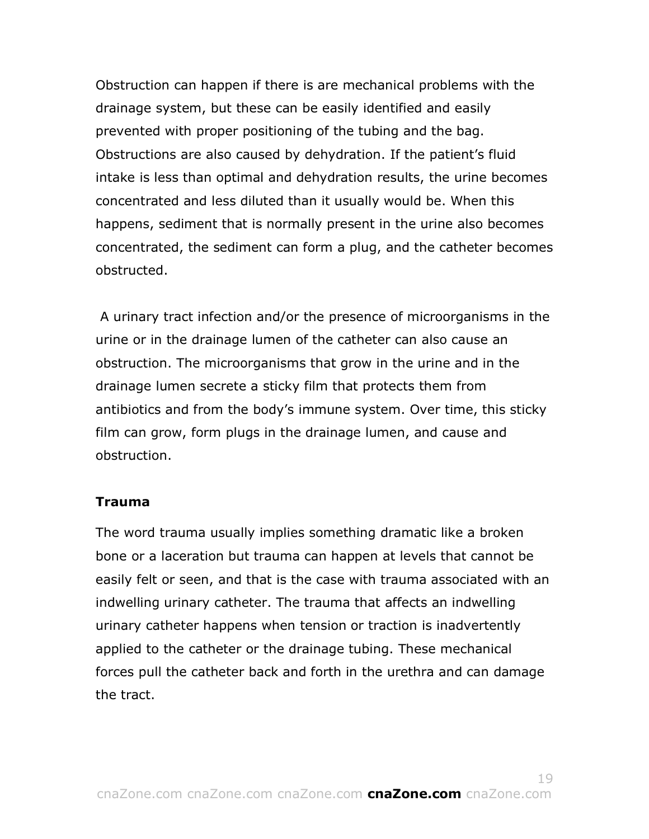Obstruction can happen if there is are mechanical problems with the drainage system, but these can be easily identified and easily prevented with proper positioning of the tubing and the bag. Obstructions are also caused by dehydration. If the patient's fluid intake is less than optimal and dehydration results, the urine becomes concentrated and less diluted than it usually would be. When this happens, sediment that is normally present in the urine also becomes concentrated, the sediment can form a plug, and the catheter becomes obstructed.

A urinary tract infection and/or the presence of microorganisms in the urine or in the drainage lumen of the catheter can also cause an obstruction. The microorganisms that grow in the urine and in the drainage lumen secrete a sticky film that protects them from antibiotics and from the body's immune system. Over time, this sticky film can grow, form plugs in the drainage lumen, and cause and obstruction.

### **Trauma**

The word trauma usually implies something dramatic like a broken bone or a laceration but trauma can happen at levels that cannot be easily felt or seen, and that is the case with trauma associated with an indwelling urinary catheter. The trauma that affects an indwelling urinary catheter happens when tension or traction is inadvertently applied to the catheter or the drainage tubing. These mechanical forces pull the catheter back and forth in the urethra and can damage the tract.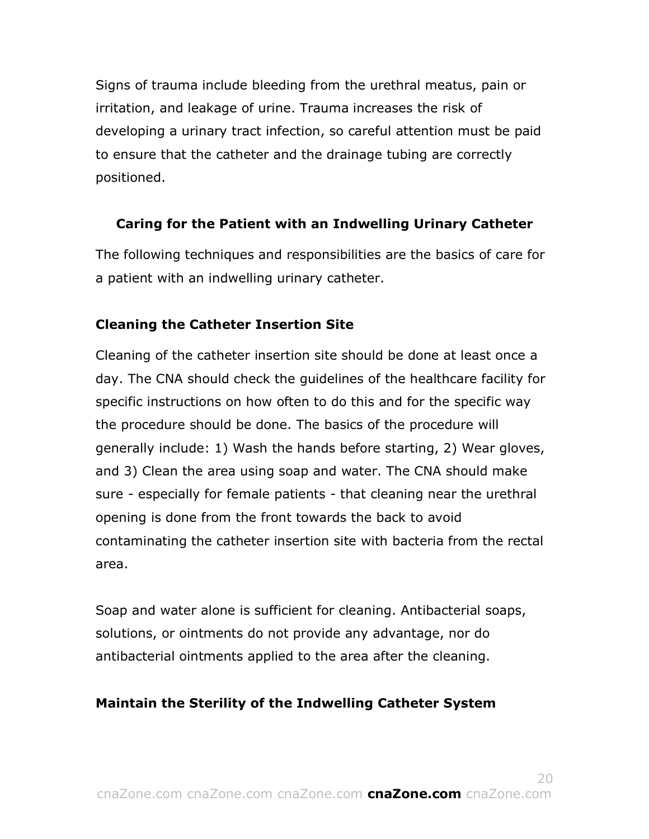Signs of trauma include bleeding from the urethral meatus, pain or irritation, and leakage of urine. Trauma increases the risk of developing a urinary tract infection, so careful attention must be paid to ensure that the catheter and the drainage tubing are correctly positioned.

# **Caring for the Patient with an Indwelling Urinary Catheter**

The following techniques and responsibilities are the basics of care for a patient with an indwelling urinary catheter.

# **Cleaning the Catheter Insertion Site**

Cleaning of the catheter insertion site should be done at least once a day. The CNA should check the guidelines of the healthcare facility for specific instructions on how often to do this and for the specific way the procedure should be done. The basics of the procedure will generally include: 1) Wash the hands before starting, 2) Wear gloves, and 3) Clean the area using soap and water. The CNA should make sure - especially for female patients - that cleaning near the urethral opening is done from the front towards the back to avoid contaminating the catheter insertion site with bacteria from the rectal area.

Soap and water alone is sufficient for cleaning. Antibacterial soaps, solutions, or ointments do not provide any advantage, nor do antibacterial ointments applied to the area after the cleaning.

# **Maintain the Sterility of the Indwelling Catheter System**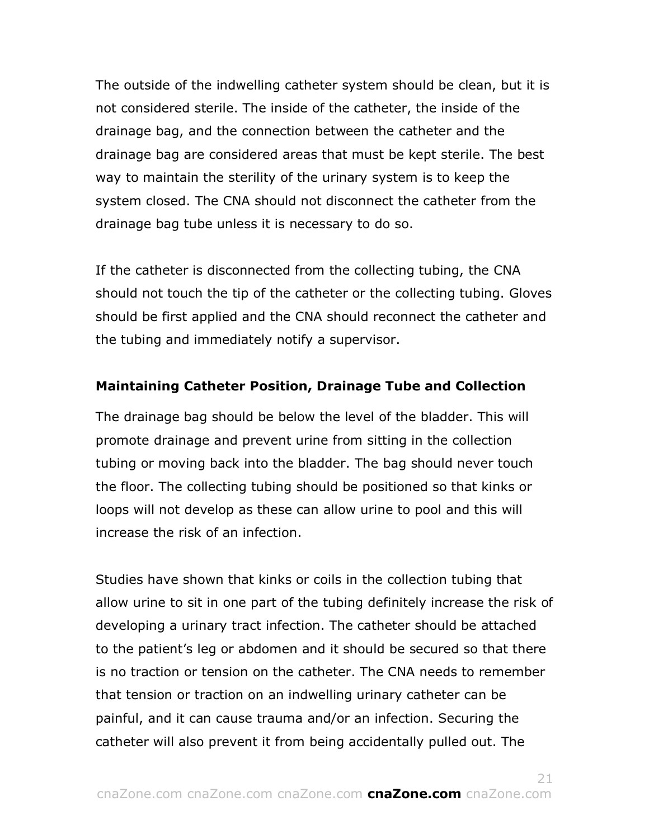The outside of the indwelling catheter system should be clean, but it is not considered sterile. The inside of the catheter, the inside of the drainage bag, and the connection between the catheter and the drainage bag are considered areas that must be kept sterile. The best way to maintain the sterility of the urinary system is to keep the system closed. The CNA should not disconnect the catheter from the drainage bag tube unless it is necessary to do so.

If the catheter is disconnected from the collecting tubing, the CNA should not touch the tip of the catheter or the collecting tubing. Gloves should be first applied and the CNA should reconnect the catheter and the tubing and immediately notify a supervisor.

### **Maintaining Catheter Position, Drainage Tube and Collection**

The drainage bag should be below the level of the bladder. This will promote drainage and prevent urine from sitting in the collection tubing or moving back into the bladder. The bag should never touch the floor. The collecting tubing should be positioned so that kinks or loops will not develop as these can allow urine to pool and this will increase the risk of an infection.

Studies have shown that kinks or coils in the collection tubing that allow urine to sit in one part of the tubing definitely increase the risk of developing a urinary tract infection. The catheter should be attached to the patient's leg or abdomen and it should be secured so that there is no traction or tension on the catheter. The CNA needs to remember that tension or traction on an indwelling urinary catheter can be painful, and it can cause trauma and/or an infection. Securing the catheter will also prevent it from being accidentally pulled out. The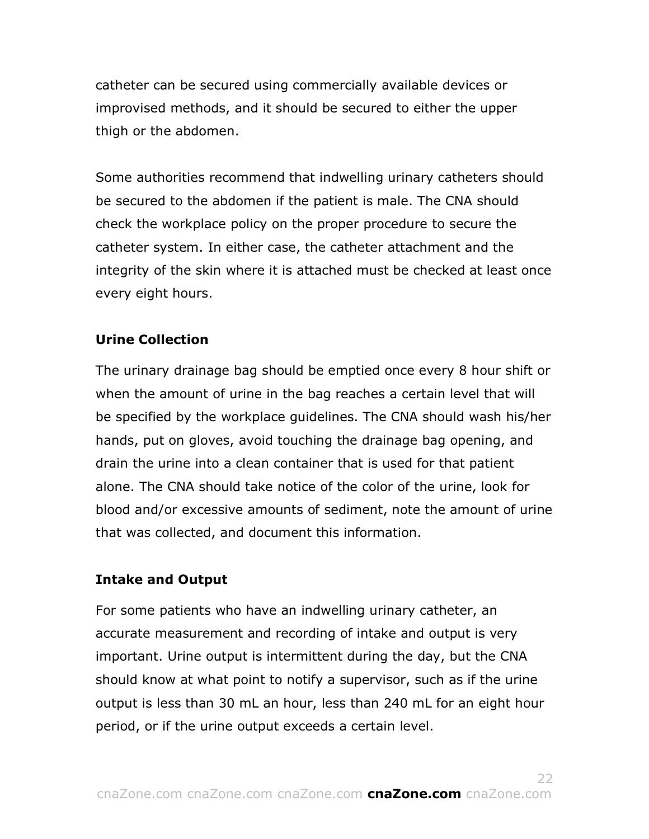catheter can be secured using commercially available devices or improvised methods, and it should be secured to either the upper thigh or the abdomen.

Some authorities recommend that indwelling urinary catheters should be secured to the abdomen if the patient is male. The CNA should check the workplace policy on the proper procedure to secure the catheter system. In either case, the catheter attachment and the integrity of the skin where it is attached must be checked at least once every eight hours.

## **Urine Collection**

The urinary drainage bag should be emptied once every 8 hour shift or when the amount of urine in the bag reaches a certain level that will be specified by the workplace guidelines. The CNA should wash his/her hands, put on gloves, avoid touching the drainage bag opening, and drain the urine into a clean container that is used for that patient alone. The CNA should take notice of the color of the urine, look for blood and/or excessive amounts of sediment, note the amount of urine that was collected, and document this information.

### **Intake and Output**

For some patients who have an indwelling urinary catheter, an accurate measurement and recording of intake and output is very important. Urine output is intermittent during the day, but the CNA should know at what point to notify a supervisor, such as if the urine output is less than 30 mL an hour, less than 240 mL for an eight hour period, or if the urine output exceeds a certain level.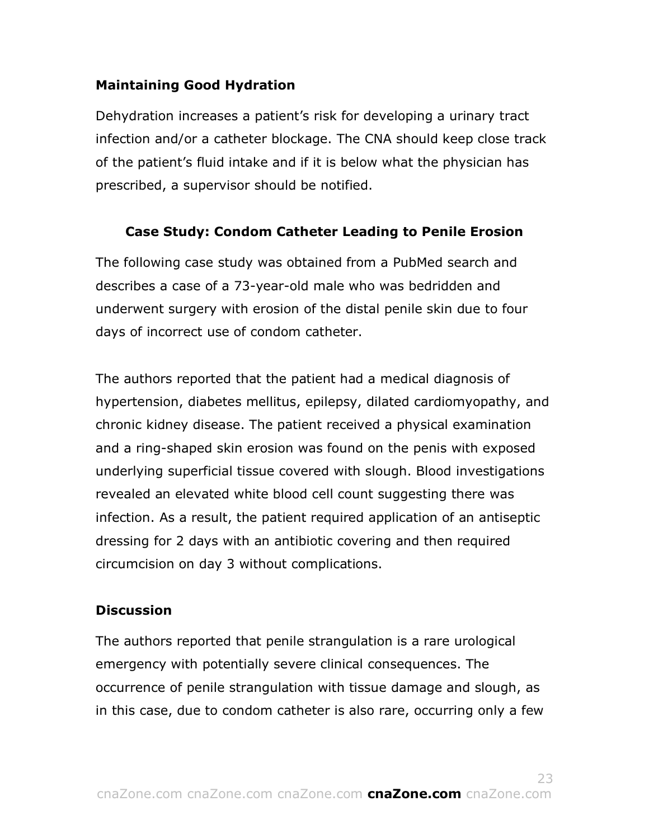# **Maintaining Good Hydration**

Dehydration increases a patient's risk for developing a urinary tract infection and/or a catheter blockage. The CNA should keep close track of the patient's fluid intake and if it is below what the physician has prescribed, a supervisor should be notified.

# **Case Study: Condom Catheter Leading to Penile Erosion**

The following case study was obtained from a PubMed search and describes a case of a 73-year-old male who was bedridden and underwent surgery with erosion of the distal penile skin due to four days of incorrect use of condom catheter.

The authors reported that the patient had a medical diagnosis of hypertension, diabetes mellitus, epilepsy, dilated cardiomyopathy, and chronic kidney disease. The patient received a physical examination and a ring-shaped skin erosion was found on the penis with exposed underlying superficial tissue covered with slough. Blood investigations revealed an elevated white blood cell count suggesting there was infection. As a result, the patient required application of an antiseptic dressing for 2 days with an antibiotic covering and then required circumcision on day 3 without complications.

# **Discussion**

The authors reported that penile strangulation is a rare urological emergency with potentially severe clinical consequences. The occurrence of penile strangulation with tissue damage and slough, as in this case, due to condom catheter is also rare, occurring only a few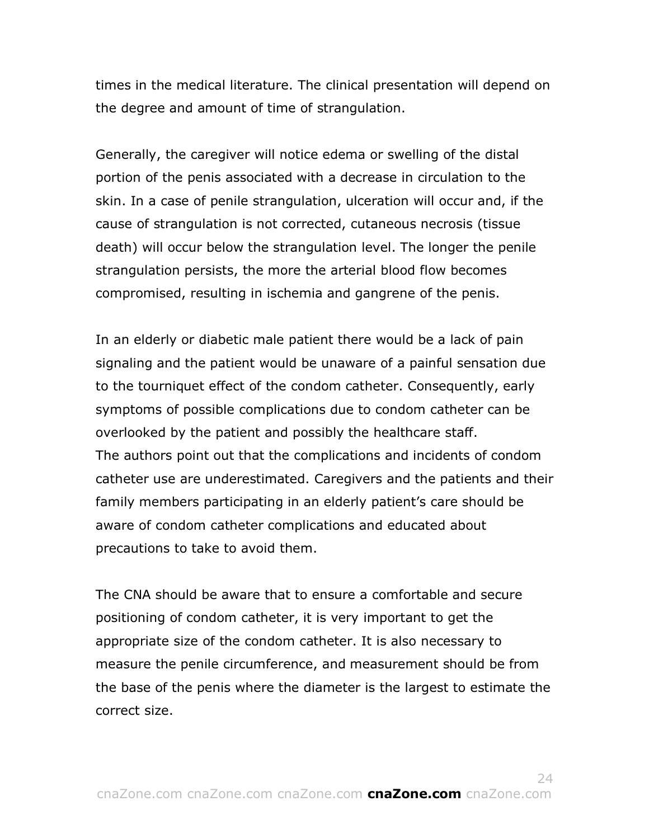times in the medical literature. The clinical presentation will depend on the degree and amount of time of strangulation.

Generally, the caregiver will notice edema or swelling of the distal portion of the penis associated with a decrease in circulation to the skin. In a case of penile strangulation, ulceration will occur and, if the cause of strangulation is not corrected, cutaneous necrosis (tissue death) will occur below the strangulation level. The longer the penile strangulation persists, the more the arterial blood flow becomes compromised, resulting in ischemia and gangrene of the penis.

In an elderly or diabetic male patient there would be a lack of pain signaling and the patient would be unaware of a painful sensation due to the tourniquet effect of the condom catheter. Consequently, early symptoms of possible complications due to condom catheter can be overlooked by the patient and possibly the healthcare staff. The authors point out that the complications and incidents of condom catheter use are underestimated. Caregivers and the patients and their family members participating in an elderly patient's care should be aware of condom catheter complications and educated about precautions to take to avoid them.

The CNA should be aware that to ensure a comfortable and secure positioning of condom catheter, it is very important to get the appropriate size of the condom catheter. It is also necessary to measure the penile circumference, and measurement should be from the base of the penis where the diameter is the largest to estimate the correct size.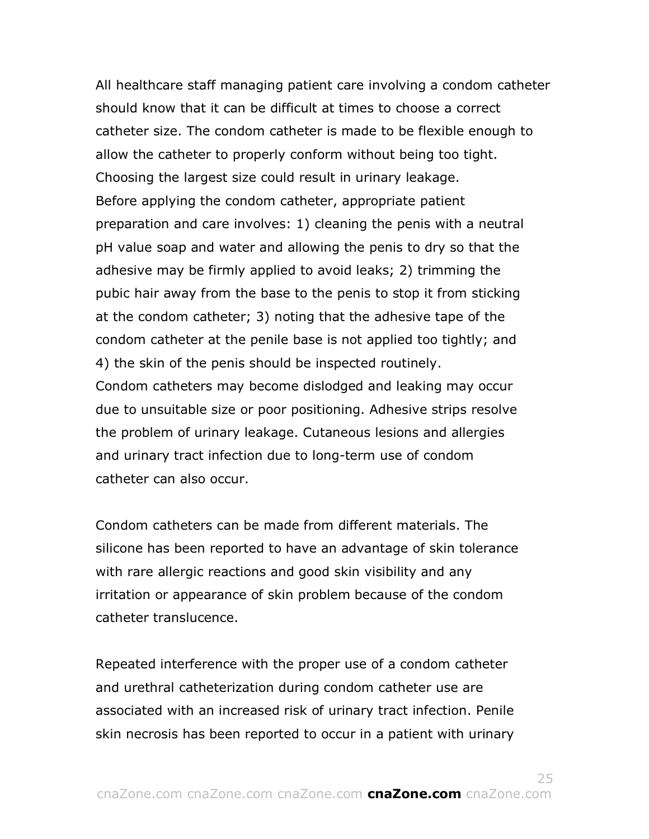All healthcare staff managing patient care involving a condom catheter should know that it can be difficult at times to choose a correct catheter size. The condom catheter is made to be flexible enough to allow the catheter to properly conform without being too tight. Choosing the largest size could result in urinary leakage. Before applying the condom catheter, appropriate patient preparation and care involves: 1) cleaning the penis with a neutral pH value soap and water and allowing the penis to dry so that the adhesive may be firmly applied to avoid leaks; 2) trimming the pubic hair away from the base to the penis to stop it from sticking at the condom catheter; 3) noting that the adhesive tape of the condom catheter at the penile base is not applied too tightly; and 4) the skin of the penis should be inspected routinely. Condom catheters may become dislodged and leaking may occur due to unsuitable size or poor positioning. Adhesive strips resolve the problem of urinary leakage. Cutaneous lesions and allergies and urinary tract infection due to long-term use of condom catheter can also occur.

Condom catheters can be made from different materials. The silicone has been reported to have an advantage of skin tolerance with rare allergic reactions and good skin visibility and any irritation or appearance of skin problem because of the condom catheter translucence.

Repeated interference with the proper use of a condom catheter and urethral catheterization during condom catheter use are associated with an increased risk of urinary tract infection. Penile skin necrosis has been reported to occur in a patient with urinary